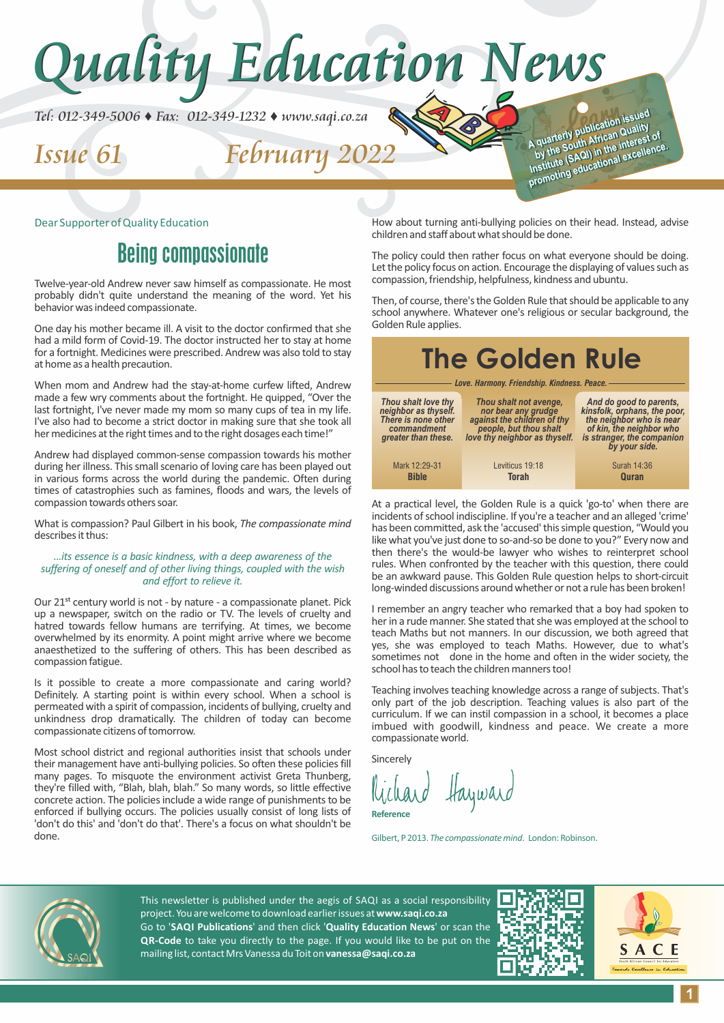

#### Dear Supporter of Quality Education

## Being compassionate

Twelve-year-old Andrew never saw himself as compassionate. He most probably didn't quite understand the meaning of the word. Yet his behavior was indeed compassionate.

One day his mother became ill. A visit to the doctor confirmed that she had a mild form of Covid-19. The doctor instructed her to stay at home for a fortnight. Medicines were prescribed. Andrew was also told to stay at home as a health precaution.

When mom and Andrew had the stay-at-home curfew lifted, Andrew made a few wry comments about the fortnight. He quipped, "Over the last fortnight, I've never made my mom so many cups of tea in my life. I've also had to become a strict doctor in making sure that she took all her medicines at the right times and to the right dosages each time!"

Andrew had displayed common-sense compassion towards his mother during her illness. This small scenario of loving care has been played out in various forms across the world during the pandemic. Often during times of catastrophies such as famines, floods and wars, the levels of compassion towards others soar.

What is compassion? Paul Gilbert in his book, *The compassionate mind* describes it thus:

#### *…its essence is a basic kindness, with a deep awareness of the suffering of oneself and of other living things, coupled with the wish and effort to relieve it.*

Our 21<sup>st</sup> century world is not - by nature - a compassionate planet. Pick up a newspaper, switch on the radio or TV. The levels of cruelty and hatred towards fellow humans are terrifying. At times, we become overwhelmed by its enormity. A point might arrive where we become anaesthetized to the suffering of others. This has been described as compassion fatigue.

Is it possible to create a more compassionate and caring world? Definitely. A starting point is within every school. When a school is permeated with a spirit of compassion, incidents of bullying, cruelty and unkindness drop dramatically. The children of today can become compassionate citizens of tomorrow.

Most school district and regional authorities insist that schools under their management have anti-bullying policies. So often these policies fill many pages. To misquote the environment activist Greta Thunberg, they're filled with, "Blah, blah, blah." So many words, so little effective concrete action. The policies include a wide range of punishments to be enforced if bullying occurs. The policies usually consist of long lists of 'don't do this' and 'don't do that'. There's a focus on what shouldn't be done.

How about turning anti-bullying policies on their head. Instead, advise children and staff about what should be done.

The policy could then rather focus on what everyone should be doing. Let the policy focus on action. Encourage the displaying of values such as compassion, friendship, helpfulness, kindness and ubuntu.

Then, of course, there's the Golden Rule that should be applicable to any school anywhere. Whatever one's religious or secular background, the Golden Rule applies.

## **The Golden Rule**

*Love. Harmony. Friendship. Kindness. Peace.*

| Thou shalt love thy<br>neighbor as thyself.<br>There is none other<br>commandment<br>greater than these. | Thou shalt not avenge,<br>nor bear any grudge<br>against the children of thy<br>people, but thou shalt<br>love thy neighbor as thyself. | And do good to parents,<br>kinsfolk, orphans, the poor,<br>the neighbor who is near<br>of kin, the neighbor who<br>is stranger, the companion<br>by your side. |
|----------------------------------------------------------------------------------------------------------|-----------------------------------------------------------------------------------------------------------------------------------------|----------------------------------------------------------------------------------------------------------------------------------------------------------------|
| Mark 12:29-31<br><b>Bible</b>                                                                            | Leviticus 19:18<br><b>Torah</b>                                                                                                         | Surah 14:36<br><b>Quran</b>                                                                                                                                    |

At a practical level, the Golden Rule is a quick 'go-to' when there are incidents of school indiscipline. If you're a teacher and an alleged 'crime' has been committed, ask the 'accused' this simple question, "Would you like what you've just done to so-and-so be done to you?" Every now and then there's the would-be lawyer who wishes to reinterpret school rules. When confronted by the teacher with this question, there could be an awkward pause. This Golden Rule question helps to short-circuit long-winded discussions around whether or not a rule has been broken!

I remember an angry teacher who remarked that a boy had spoken to her in a rude manner. She stated that she was employed at the school to teach Maths but not manners. In our discussion, we both agreed that yes, she was employed to teach Maths. However, due to what's sometimes not done in the home and often in the wider society, the school has to teach the children manners too!

Teaching involves teaching knowledge across a range of subjects. That's only part of the job description. Teaching values is also part of the curriculum. If we can instil compassion in a school, it becomes a place imbued with goodwill, kindness and peace. We create a more compassionate world.

Sincerely

Richard Hayward **Reference**

Gilbert, P 2013. *The compassionate mind*. London: Robinson.



This newsletter is published under the aegis of SAQI as a social responsibility project. You are welcome to download earlier issues at **www.saqi.co.za** Go to '**SAQI Publications**' and then click '**Quality Education News**' or scan the **QR-Code** to take you directly to the page. If you would like to be put on the mailing list, contact Mrs Vanessa du Toit on **vanessa@saqi.co.za** 

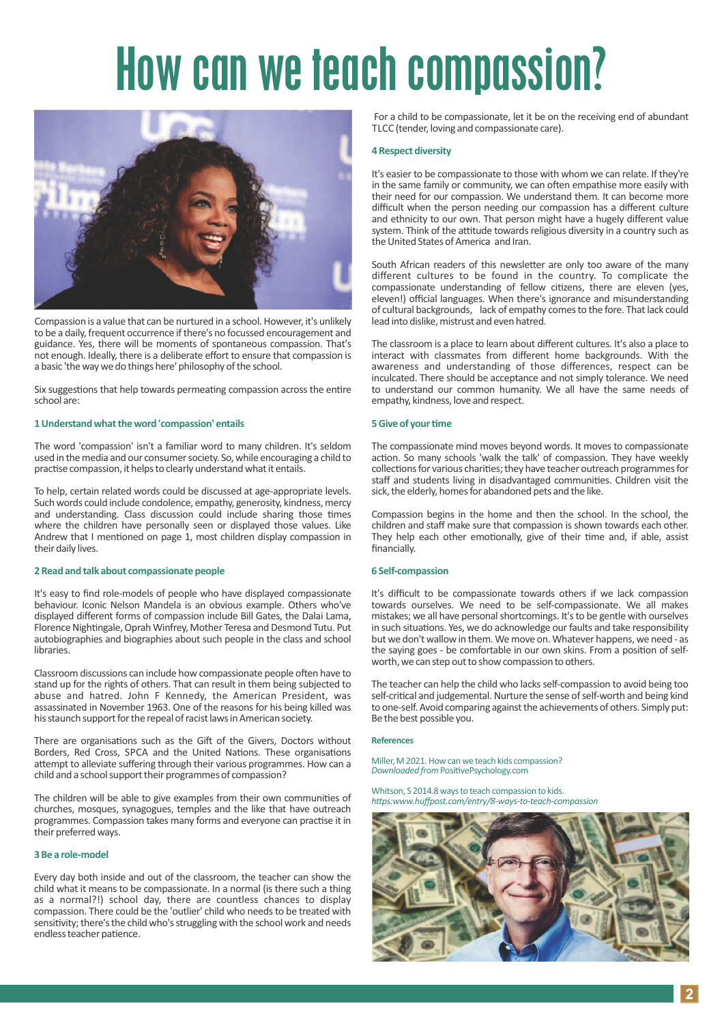# How can we teach compassion?



Compassion is a value that can be nurtured in a school. However, it's unlikely to be a daily, frequent occurrence if there's no focussed encouragement and guidance. Yes, there will be moments of spontaneous compassion. That's not enough. Ideally, there is a deliberate effort to ensure that compassion is a basic 'the way we do things here' philosophy of the school.

Six suggestions that help towards permeating compassion across the entire school are:

#### **1 Understand what the word 'compassion' entails**

The word 'compassion' isn't a familiar word to many children. It's seldom used in the media and our consumer society. So, while encouraging a child to practise compassion, it helps to clearly understand what it entails.

To help, certain related words could be discussed at age-appropriate levels. Such words could include condolence, empathy, generosity, kindness, mercy and understanding. Class discussion could include sharing those times where the children have personally seen or displayed those values. Like Andrew that I mentioned on page 1, most children display compassion in their daily lives.

#### **2 Read and talk about compassionate people**

It's easy to find role-models of people who have displayed compassionate behaviour. Iconic Nelson Mandela is an obvious example. Others who've displayed different forms of compassion include Bill Gates, the Dalai Lama, Florence Nightingale, Oprah Winfrey, Mother Teresa and Desmond Tutu. Put autobiographies and biographies about such people in the class and school libraries.

Classroom discussions can include how compassionate people often have to stand up for the rights of others. That can result in them being subjected to abuse and hatred. John F Kennedy, the American President, was assassinated in November 1963. One of the reasons for his being killed was his staunch support for the repeal of racist laws in American society.

There are organisations such as the Gift of the Givers, Doctors without Borders, Red Cross, SPCA and the United Nations. These organisations attempt to alleviate suffering through their various programmes. How can a child and a school support their programmes of compassion?

The children will be able to give examples from their own communities of churches, mosques, synagogues, temples and the like that have outreach programmes. Compassion takes many forms and everyone can practise it in their preferred ways.

#### **3 Be a role-model**

Every day both inside and out of the classroom, the teacher can show the child what it means to be compassionate. In a normal (is there such a thing as a normal?!) school day, there are countless chances to display compassion. There could be the 'outlier' child who needs to be treated with sensitivity; there's the child who's struggling with the school work and needs endless teacher patience.

For a child to be compassionate, let it be on the receiving end of abundant TLCC (tender, loving and compassionate care).

#### **4 Respect diversity**

It's easier to be compassionate to those with whom we can relate. If they're in the same family or community, we can often empathise more easily with their need for our compassion. We understand them. It can become more difficult when the person needing our compassion has a different culture and ethnicity to our own. That person might have a hugely different value system. Think of the attitude towards religious diversity in a country such as the United States of America and Iran.

South African readers of this newsletter are only too aware of the many different cultures to be found in the country. To complicate the compassionate understanding of fellow citizens, there are eleven (yes, eleven!) official languages. When there's ignorance and misunderstanding of cultural backgrounds, lack of empathy comes to the fore. That lack could lead into dislike, mistrust and even hatred.

The classroom is a place to learn about different cultures. It's also a place to interact with classmates from different home backgrounds. With the awareness and understanding of those differences, respect can be inculcated. There should be acceptance and not simply tolerance. We need to understand our common humanity. We all have the same needs of empathy, kindness, love and respect.

#### **5 Give of your time**

The compassionate mind moves beyond words. It moves to compassionate action. So many schools 'walk the talk' of compassion. They have weekly collections for various charities; they have teacher outreach programmes for staff and students living in disadvantaged communities. Children visit the sick, the elderly, homes for abandoned pets and the like.

Compassion begins in the home and then the school. In the school, the children and staff make sure that compassion is shown towards each other. They help each other emotionally, give of their time and, if able, assist financially.

#### **6 Self-compassion**

It's difficult to be compassionate towards others if we lack compassion towards ourselves. We need to be self-compassionate. We all makes mistakes; we all have personal shortcomings. It's to be gentle with ourselves in such situations. Yes, we do acknowledge our faults and take responsibility but we don't wallow in them. We move on. Whatever happens, we need - as the saying goes - be comfortable in our own skins. From a position of selfworth, we can step out to show compassion to others.

The teacher can help the child who lacks self-compassion to avoid being too self-critical and judgemental. Nurture the sense of self-worth and being kind to one-self. Avoid comparing against the achievements of others. Simply put: Be the best possible you.

#### **References**

Miller, M 2021. How can we teach kids compassion? *Downloaded from PositivePsychology.com* 

Whitson, S 2014.8 ways to teach compassion to kids. *hps:www.huffpost.com/entry/8-ways-to-teach-compassion* 

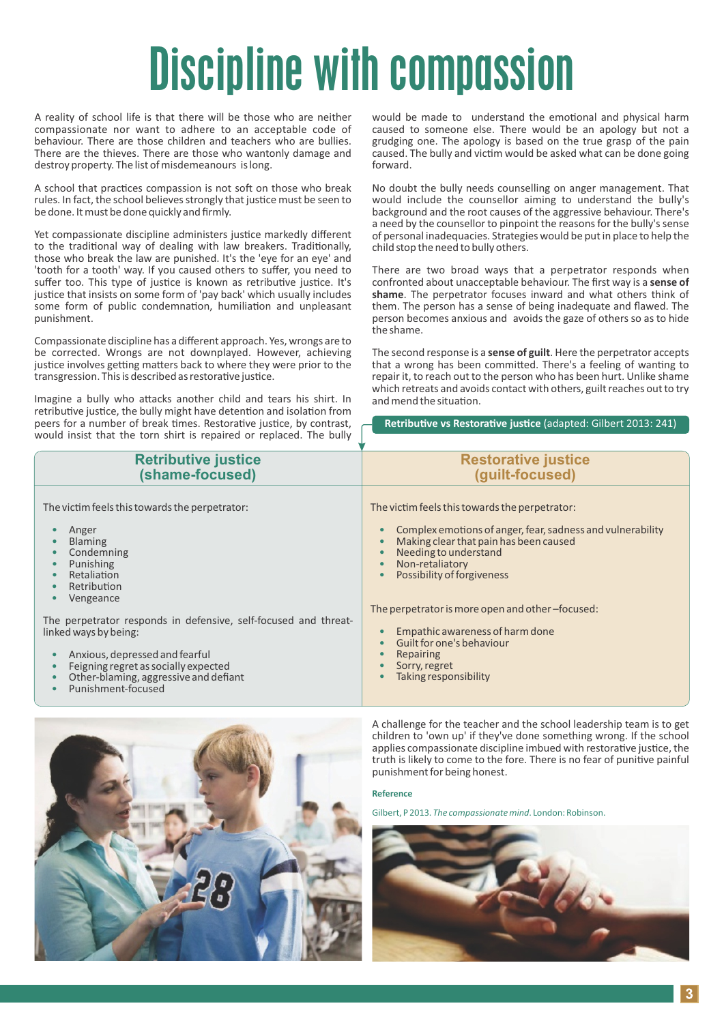# Discipline with compassion

A reality of school life is that there will be those who are neither compassionate nor want to adhere to an acceptable code of behaviour. There are those children and teachers who are bullies. There are the thieves. There are those who wantonly damage and destroy property. The list of misdemeanours is long.

A school that practices compassion is not soft on those who break rules. In fact, the school believes strongly that justice must be seen to be done. It must be done quickly and firmly.

Yet compassionate discipline administers justice markedly different to the traditional way of dealing with law breakers. Traditionally, those who break the law are punished. It's the 'eye for an eye' and 'tooth for a tooth' way. If you caused others to suffer, you need to suffer too. This type of justice is known as retributive justice. It's justice that insists on some form of 'pay back' which usually includes some form of public condemnation, humiliation and unpleasant punishment.

Compassionate discipline has a different approach. Yes, wrongs are to be corrected. Wrongs are not downplayed. However, achieving justice involves getting matters back to where they were prior to the transgression. This is described as restorative justice.

Imagine a bully who attacks another child and tears his shirt. In retributive justice, the bully might have detention and isolation from peers for a number of break times. Restorative justice, by contrast, would insist that the torn shirt is repaired or replaced. The bully

would be made to understand the emotional and physical harm caused to someone else. There would be an apology but not a grudging one. The apology is based on the true grasp of the pain caused. The bully and victim would be asked what can be done going forward.

No doubt the bully needs counselling on anger management. That would include the counsellor aiming to understand the bully's background and the root causes of the aggressive behaviour. There's a need by the counsellor to pinpoint the reasons for the bully's sense of personal inadequacies. Strategies would be put in place to help the child stop the need to bully others.

There are two broad ways that a perpetrator responds when confronted about unacceptable behaviour. The first way is a **sense of shame**. The perpetrator focuses inward and what others think of them. The person has a sense of being inadequate and flawed. The person becomes anxious and avoids the gaze of others so as to hide the shame.

The second response is a **sense of guilt**. Here the perpetrator accepts that a wrong has been committed. There's a feeling of wanting to repair it, to reach out to the person who has been hurt. Unlike shame which retreats and avoids contact with others, guilt reaches out to try and mend the situation.

**Retributive vs Restorative justice** (adapted: Gilbert 2013: 241)

| <b>Retributive justice</b><br>(shame-focused)                                                                                                                                | <b>Restorative justice</b><br>(guilt-focused)                                                                                                                       |
|------------------------------------------------------------------------------------------------------------------------------------------------------------------------------|---------------------------------------------------------------------------------------------------------------------------------------------------------------------|
| The victim feels this towards the perpetrator:<br>Anger<br><b>Blaming</b>                                                                                                    | The victim feels this towards the perpetrator:<br>Complex emotions of anger, fear, sadness and vulnerability<br>$\bullet$<br>Making clear that pain has been caused |
| Condemning<br>Punishing<br>$\bullet$<br>Retaliation<br>$\bullet$<br>Retribution<br>$\bullet$<br>Vengeance<br>$\bullet$                                                       | Needing to understand<br>Non-retaliatory<br>$\bullet$<br>Possibility of forgiveness<br>$\bullet$                                                                    |
| The perpetrator responds in defensive, self-focused and threat-<br>linked ways by being:                                                                                     | The perpetrator is more open and other-focused:<br>Empathic awareness of harm done<br>Guilt for one's behaviour                                                     |
| Anxious, depressed and fearful<br>$\bullet$<br>Feigning regret as socially expected<br>$\bullet$<br>Other-blaming, aggressive and defiant<br>Punishment-focused<br>$\bullet$ | <b>Repairing</b><br>Sorry, regret<br>Taking responsibility<br>$\bullet$                                                                                             |



A challenge for the teacher and the school leadership team is to get children to 'own up' if they've done something wrong. If the school applies compassionate discipline imbued with restorative justice, the truth is likely to come to the fore. There is no fear of punitive painful punishment for being honest.

#### **Reference**

Gilbert, P 2013. *The compassionate mind*. London: Robinson.